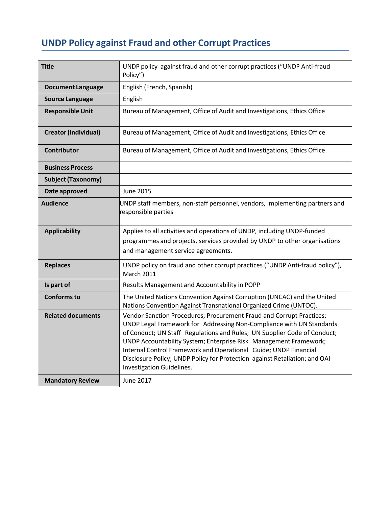# **UNDP Policy against Fraud and other Corrupt Practices**

| <b>Title</b>                | UNDP policy against fraud and other corrupt practices ("UNDP Anti-fraud<br>Policy")                                                                                                                                                                                                                                                                                                                                                                                          |
|-----------------------------|------------------------------------------------------------------------------------------------------------------------------------------------------------------------------------------------------------------------------------------------------------------------------------------------------------------------------------------------------------------------------------------------------------------------------------------------------------------------------|
| <b>Document Language</b>    | English (French, Spanish)                                                                                                                                                                                                                                                                                                                                                                                                                                                    |
| <b>Source Language</b>      | English                                                                                                                                                                                                                                                                                                                                                                                                                                                                      |
| <b>Responsible Unit</b>     | Bureau of Management, Office of Audit and Investigations, Ethics Office                                                                                                                                                                                                                                                                                                                                                                                                      |
| <b>Creator (individual)</b> | Bureau of Management, Office of Audit and Investigations, Ethics Office                                                                                                                                                                                                                                                                                                                                                                                                      |
| <b>Contributor</b>          | Bureau of Management, Office of Audit and Investigations, Ethics Office                                                                                                                                                                                                                                                                                                                                                                                                      |
| <b>Business Process</b>     |                                                                                                                                                                                                                                                                                                                                                                                                                                                                              |
| <b>Subject (Taxonomy)</b>   |                                                                                                                                                                                                                                                                                                                                                                                                                                                                              |
| Date approved               | June 2015                                                                                                                                                                                                                                                                                                                                                                                                                                                                    |
| <b>Audience</b>             | UNDP staff members, non-staff personnel, vendors, implementing partners and<br>responsible parties                                                                                                                                                                                                                                                                                                                                                                           |
| <b>Applicability</b>        | Applies to all activities and operations of UNDP, including UNDP-funded<br>programmes and projects, services provided by UNDP to other organisations<br>and management service agreements.                                                                                                                                                                                                                                                                                   |
| <b>Replaces</b>             | UNDP policy on fraud and other corrupt practices ("UNDP Anti-fraud policy"),<br><b>March 2011</b>                                                                                                                                                                                                                                                                                                                                                                            |
| Is part of                  | Results Management and Accountability in POPP                                                                                                                                                                                                                                                                                                                                                                                                                                |
| <b>Conforms to</b>          | The United Nations Convention Against Corruption (UNCAC) and the United<br>Nations Convention Against Transnational Organized Crime (UNTOC).                                                                                                                                                                                                                                                                                                                                 |
| <b>Related documents</b>    | Vendor Sanction Procedures; Procurement Fraud and Corrupt Practices;<br>UNDP Legal Framework for Addressing Non-Compliance with UN Standards<br>of Conduct; UN Staff Regulations and Rules; UN Supplier Code of Conduct;<br>UNDP Accountability System; Enterprise Risk Management Framework;<br>Internal Control Framework and Operational Guide; UNDP Financial<br>Disclosure Policy; UNDP Policy for Protection against Retaliation; and OAI<br>Investigation Guidelines. |
| <b>Mandatory Review</b>     | June 2017                                                                                                                                                                                                                                                                                                                                                                                                                                                                    |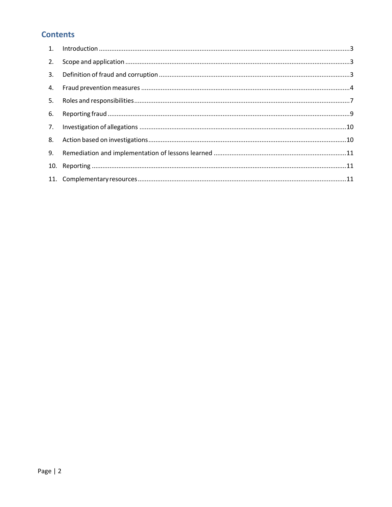# **Contents**

| 2. |  |
|----|--|
| 3. |  |
| 4. |  |
| 5. |  |
| 6. |  |
| 7. |  |
| 8. |  |
| 9. |  |
|    |  |
|    |  |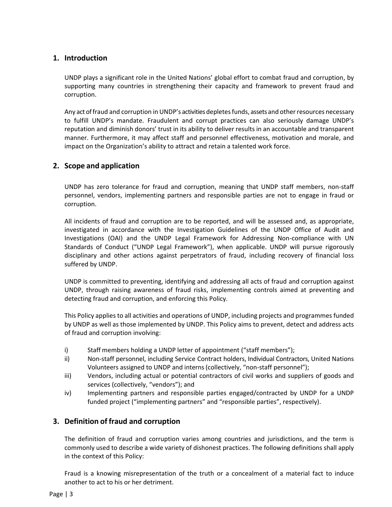# <span id="page-2-0"></span>**1. Introduction**

UNDP plays a significant role in the United Nations' global effort to combat fraud and corruption, by supporting many countries in strengthening their capacity and framework to prevent fraud and corruption.

Any act of fraud and corruption in UNDP's activities depletes funds, assets and other resources necessary to fulfill UNDP's mandate. Fraudulent and corrupt practices can also seriously damage UNDP's reputation and diminish donors' trust in its ability to deliver results in an accountable and transparent manner. Furthermore, it may affect staff and personnel effectiveness, motivation and morale, and impact on the Organization's ability to attract and retain a talented work force.

# <span id="page-2-1"></span>**2. Scope and application**

UNDP has zero tolerance for fraud and corruption, meaning that UNDP staff members, non-staff personnel, vendors, implementing partners and responsible parties are not to engage in fraud or corruption.

All incidents of fraud and corruption are to be reported, and will be assessed and, as appropriate, investigated in accordance with the Investigation Guidelines of the UNDP Office of Audit and Investigations (OAI) and the UNDP Legal Framework for Addressing Non-compliance with UN Standards of Conduct ("UNDP Legal Framework"), when applicable. UNDP will pursue rigorously disciplinary and other actions against perpetrators of fraud, including recovery of financial loss suffered by UNDP.

UNDP is committed to preventing, identifying and addressing all acts of fraud and corruption against UNDP, through raising awareness of fraud risks, implementing controls aimed at preventing and detecting fraud and corruption, and enforcing this Policy.

This Policy applies to all activities and operations of UNDP, including projects and programmes funded by UNDP as well as those implemented by UNDP. This Policy aims to prevent, detect and address acts of fraud and corruption involving:

- i) Staff members holding a UNDP letter of appointment ("staff members");
- ii) Non-staff personnel, including Service Contract holders, Individual Contractors, United Nations Volunteers assigned to UNDP and interns(collectively, "non-staff personnel");
- iii) Vendors, including actual or potential contractors of civil works and suppliers of goods and services (collectively, "vendors"); and
- iv) Implementing partners and responsible parties engaged/contracted by UNDP for a UNDP funded project ("implementing partners" and "responsible parties", respectively).

# <span id="page-2-2"></span>**3. Definition of fraud and corruption**

The definition of fraud and corruption varies among countries and jurisdictions, and the term is commonly used to describe a wide variety of dishonest practices. The following definitions shall apply in the context of this Policy:

Fraud is a knowing misrepresentation of the truth or a concealment of a material fact to induce another to act to his or her detriment.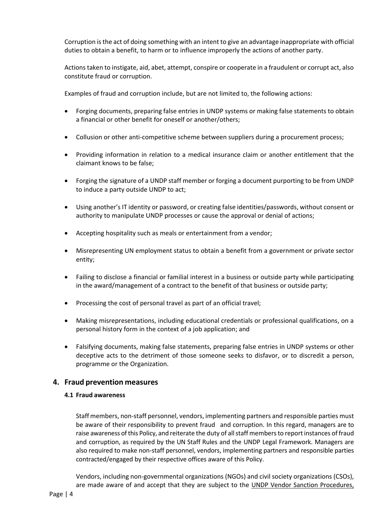Corruption is the act of doing something with an intent to give an advantage inappropriate with official duties to obtain a benefit, to harm or to influence improperly the actions of another party.

Actions taken to instigate, aid, abet, attempt, conspire or cooperate in a fraudulent or corrupt act, also constitute fraud or corruption.

Examples of fraud and corruption include, but are not limited to, the following actions:

- Forging documents, preparing false entries in UNDP systems or making false statements to obtain a financial or other benefit for oneself or another/others;
- Collusion or other anti-competitive scheme between suppliers during a procurement process;
- Providing information in relation to a medical insurance claim or another entitlement that the claimant knows to be false;
- Forging the signature of a UNDP staff member or forging a document purporting to be from UNDP to induce a party outside UNDP to act;
- Using another's IT identity or password, or creating false identities/passwords, without consent or authority to manipulate UNDP processes or cause the approval or denial of actions;
- Accepting hospitality such as meals or entertainment from a vendor;
- Misrepresenting UN employment status to obtain a benefit from a government or private sector entity;
- Failing to disclose a financial or familial interest in a business or outside party while participating in the award/management of a contract to the benefit of that business or outside party;
- Processing the cost of personal travel as part of an official travel;
- Making misrepresentations, including educational credentials or professional qualifications, on a personal history form in the context of a job application; and
- Falsifying documents, making false statements, preparing false entries in UNDP systems or other deceptive acts to the detriment of those someone seeks to disfavor, or to discredit a person, programme or the Organization.

# <span id="page-3-0"></span>**4. Fraud prevention measures**

#### **4.1 Fraud awareness**

Staff members, non-staff personnel, vendors, implementing partners and responsible parties must be aware of their responsibility to prevent fraud and corruption. In this regard, managers are to raise awareness of this Policy, and reiterate the duty of all staff members to report instances of fraud and corruption, as required by the UN Staff Rules and the UNDP Legal Framework. Managers are also required to make non-staff personnel, vendors, implementing partners and responsible parties contracted/engaged by their respective offices aware of this Policy.

Vendors, including non-governmental organizations (NGOs) and civil society organizations (CSOs), are made aware of and accept that they are subject to the [UNDP Vendor Sanction Procedures,](http://www.undp.org/content/undp/en/home/operations/procurement/protestandsanctions/)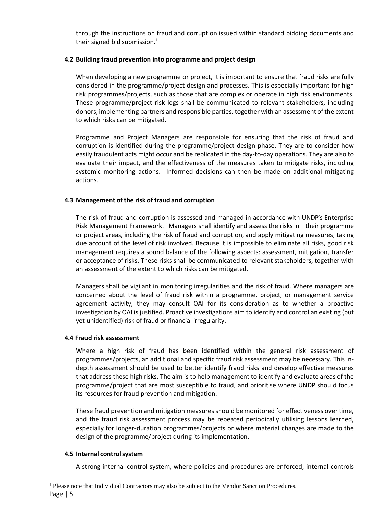through the instructions on fraud and corruption issued within standard bidding documents and their signed bid submission.<sup>1</sup>

## **4.2 Building fraud prevention into programme and project design**

When developing a new programme or project, it is important to ensure that fraud risks are fully considered in the programme/project design and processes. This is especially important for high risk programmes/projects, such as those that are complex or operate in high risk environments. These programme/project risk logs shall be communicated to relevant stakeholders, including donors, implementing partners and responsible parties, together with an assessment of the extent to which risks can be mitigated.

Programme and Project Managers are responsible for ensuring that the risk of fraud and corruption is identified during the programme/project design phase. They are to consider how easily fraudulent acts might occur and be replicated in the day-to-day operations. They are also to evaluate their impact, and the effectiveness of the measures taken to mitigate risks, including systemic monitoring actions. Informed decisions can then be made on additional mitigating actions.

## **4.3 Management of the risk of fraud and corruption**

The risk of fraud and corruption is assessed and managed in accordance with UNDP's [Enterprise](https://intranet.undp.org/global/popp/rma/Pages/enterprise-risk-management-cycle.aspx)  [Risk Management](https://intranet.undp.org/global/popp/rma/Pages/enterprise-risk-management-cycle.aspx) Framework. Managers shall identify and assess the risks in their programme or project areas, including the risk of fraud and corruption, and apply mitigating measures, taking due account of the level of risk involved. Because it is impossible to eliminate all risks, good risk management requires a sound balance of the following aspects: assessment, mitigation, transfer or acceptance of risks. These risks shall be communicated to relevant stakeholders, together with an assessment of the extent to which risks can be mitigated.

Managers shall be vigilant in monitoring irregularities and the risk of fraud. Where managers are concerned about the level of fraud risk within a programme, project, or management service agreement activity, they may consult OAI for its consideration as to whether a proactive investigation by OAI is justified. Proactive investigations aim to identify and control an existing (but yet unidentified) risk of fraud or financial irregularity.

## **4.4 Fraud risk assessment**

Where a high risk of fraud has been identified within the general risk assessment of programmes/projects, an additional and specific fraud risk assessment may be necessary. This indepth assessment should be used to better identify fraud risks and develop effective measures that address these high risks. The aim is to help management to identify and evaluate areas of the programme/project that are most susceptible to fraud, and prioritise where UNDP should focus its resources for fraud prevention and mitigation.

These fraud prevention and mitigation measures should be monitored for effectiveness over time, and the fraud risk assessment process may be repeated periodically utilising lessons learned, especially for longer-duration programmes/projects or where material changes are made to the design of the programme/project during its implementation.

## **4.5 Internal controlsystem**

A strong internal control system, where policies and procedures are enforced, internal controls

Page | 5 l <sup>1</sup> Please note that Individual Contractors may also be subject to the Vendor Sanction Procedures.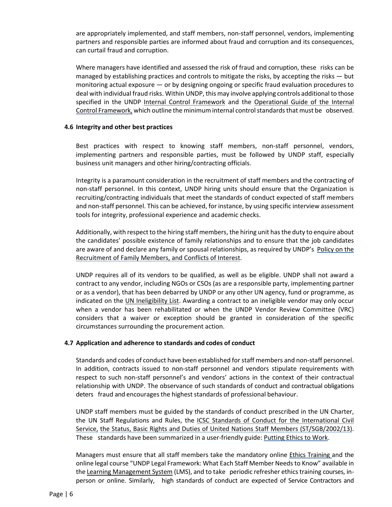are appropriately implemented, and staff members, non-staff personnel, vendors, implementing partners and responsible parties are informed about fraud and corruption and its consequences, can curtail fraud and corruption.

Where managers have identified and assessed the risk of fraud and corruption, these risks can be managed by establishing practices and controls to mitigate the risks, by accepting the risks — but monitoring actual exposure — or by designing ongoing or specific fraud evaluation procedures to deal with individual fraud risks. Within UNDP, this may involve applying controls additional to those specified in the UNDP [Internal Control Framework](https://intranet.undp.org/global/popp/rma/Pages/internal-control-framework.aspx) and the [Operational Guide of the Internal](https://intranet.undp.org/global/popp/rma/Pages/operational-guide-of-the-internal-control-framework.aspx)  [Control Framework,](https://intranet.undp.org/global/popp/rma/Pages/operational-guide-of-the-internal-control-framework.aspx) which outline the minimum internal control standards that must be observed.

### **4.6 Integrity and other best practices**

Best practices with respect to knowing staff members, non-staff personnel, vendors, implementing partners and responsible parties, must be followed by UNDP staff, especially business unit managers and other hiring/contracting officials.

Integrity is a paramount consideration in the recruitment of staff members and the contracting of non-staff personnel. In this context, UNDP hiring units should ensure that the Organization is recruiting/contracting individuals that meet the standards of conduct expected of staff members and non-staff personnel. This can be achieved, for instance, by using specific interview assessment tools for integrity, professional experience and academic checks.

Additionally, with respect to the hiring staff members, the hiring unit has the duty to enquire about the candidates' possible existence of family relationships and to ensure that the job candidates are aware of and declare any family or spousal relationships, as required by UNDP's [Policy on the](http://content.undp.org/go/prescriptive/Human-Resources---Prescriptive-Content/download/?d_id=2069025)  [Recruitment of Family Members, and Conflicts of Interest.](http://content.undp.org/go/prescriptive/Human-Resources---Prescriptive-Content/download/?d_id=2069025)

UNDP requires all of its vendors to be qualified, as well as be eligible. UNDP shall not award a contract to any vendor, including NGOs or CSOs (as are a responsible party, implementing partner or as a vendor), that has been debarred by UNDP or any other UN agency, fund or programme, as indicated on the [UN Ineligibility List.](http://www.undp.org/content/undp/en/home/operations/procurement/protestandsanctions/) Awarding a contract to an ineligible vendor may only occur when a vendor has been rehabilitated or when the UNDP Vendor Review Committee (VRC) considers that a waiver or exception should be granted in consideration of the specific circumstances surrounding the procurement action.

## **4.7 Application and adherence to standards and codes of conduct**

Standards and codes of conduct have been established for staff members and non-staff personnel. In addition, contracts issued to non-staff personnel and vendors stipulate requirements with respect to such non-staff personnel's and vendors' actions in the context of their contractual relationship with UNDP. The observance of such standards of conduct and contractual obligations deters fraud and encourages the highest standards of professional behaviour.

UNDP staff members must be guided by the standards of conduct prescribed in the UN Charter, the UN Staff Regulations and Rules, the [ICSC Standards of Conduct for the International Civil](http://icsc.un.org/resources/pdfs/general/standardsE.pdf)  Service, [the Status, Basic Rights and Duties of United Nations Staff Members \(ST/SGB/2002/13\).](http://icsc.un.org/resources/pdfs/general/standardsE.pdf) These standards have been summarized in a user-friendly guide: [Putting Ethics to Work.](http://content.undp.org/go/prescriptive/Human-Resources---Prescriptive-Content/download/?d_id=1669212)

Managers must ensure that all staff members take the mandatory online [Ethics Training](https://intranet.undp.org/unit/office/ethics/training/default.aspx) and the online legal course "UNDP Legal Framework: What Each Staff Member Needsto Know" available in the [Learning Management System](https://intranet.undp.org/unit/bom/ohr/lrc/SitePages/Certifications.aspx) (LMS), and to take periodic refresher ethics training courses, inperson or online. Similarly, high standards of conduct are expected of Service Contractors and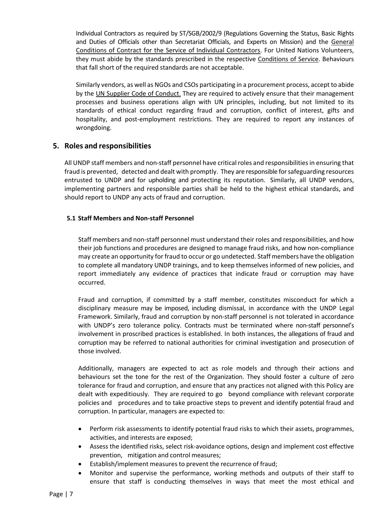Individual Contractors as required by ST/SGB/2002/9 (Regulations Governing the Status, Basic Rights and Duties of Officials other than Secretariat Officials, and Experts on Mission) and the General [Conditions of Contract for the Service of Individual Contractors.](https://intranet.undp.org/unit/bom/pso/Support%20documents%20on%20IC%20Guidelines/UNDP%20General%20Conditions%20for%20Individual%20Contracts.pdf) For United Nations Volunteers, they must abide by the standards prescribed in the respective [Conditions of Service.](http://www.unv.org/?id=16474) Behaviours that fall short of the required standards are not acceptable.

Similarly vendors, as well as NGOs and CSOs participating in a procurement process, accept to abide by the [UN Supplier Code of Conduct.](http://www.un.org/depts/ptd/pdf/conduct_english.pdf) They are required to actively ensure that their management processes and business operations align with UN principles, including, but not limited to its standards of ethical conduct regarding fraud and corruption, conflict of interest, gifts and hospitality, and post-employment restrictions. They are required to report any instances of wrongdoing.

# <span id="page-6-0"></span>**5. Roles and responsibilities**

All UNDP staff members and non-staff personnel have critical roles and responsibilitiesin ensuring that fraud is prevented, detected and dealt with promptly. They are responsible for safeguarding resources entrusted to UNDP and for upholding and protecting its reputation. Similarly, all UNDP vendors, implementing partners and responsible parties shall be held to the highest ethical standards, and should report to UNDP any acts of fraud and corruption.

## **5.1 Staff Members and Non-staff Personnel**

Staff members and non-staff personnel must understand their roles and responsibilities, and how their job functions and procedures are designed to manage fraud risks, and how non-compliance may create an opportunity for fraud to occur or go undetected. Staff members have the obligation to complete all mandatory UNDP trainings, and to keep themselves informed of new policies, and report immediately any evidence of practices that indicate fraud or corruption may have occurred.

Fraud and corruption, if committed by a staff member, constitutes misconduct for which a disciplinary measure may be imposed, including dismissal, in accordance with the UNDP Legal Framework. Similarly, fraud and corruption by non-staff personnel is not tolerated in accordance with UNDP's zero tolerance policy. Contracts must be terminated where non-staff personnel's involvement in proscribed practices is established. In both instances, the allegations of fraud and corruption may be referred to national authorities for criminal investigation and prosecution of those involved.

Additionally, managers are expected to act as role models and through their actions and behaviours set the tone for the rest of the Organization. They should foster a culture of zero tolerance for fraud and corruption, and ensure that any practices not aligned with this Policy are dealt with expeditiously. They are required to go beyond compliance with relevant corporate policies and procedures and to take proactive steps to prevent and identify potential fraud and corruption. In particular, managers are expected to:

- Perform risk assessments to identify potential fraud risks to which their assets, programmes, activities, and interests are exposed;
- Assess the identified risks, select risk-avoidance options, design and implement cost effective prevention, mitigation and control measures;
- **Establish/implement measures to prevent the recurrence of fraud;**
- Monitor and supervise the performance, working methods and outputs of their staff to ensure that staff is conducting themselves in ways that meet the most ethical and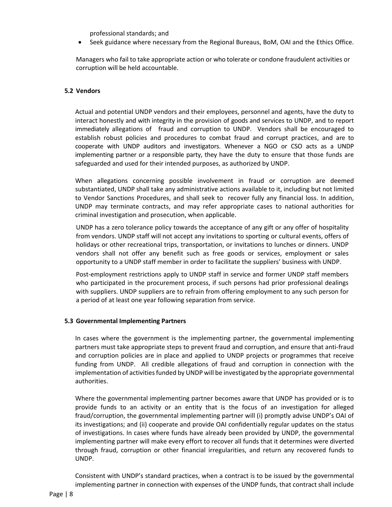professional standards; and

Seek guidance where necessary from the Regional Bureaus, BoM, OAI and the Ethics Office.

Managers who fail to take appropriate action or who tolerate or condone fraudulent activities or corruption will be held accountable.

## **5.2 Vendors**

Actual and potential UNDP vendors and their employees, personnel and agents, have the duty to interact honestly and with integrity in the provision of goods and services to UNDP, and to report immediately allegations of fraud and corruption to UNDP. Vendors shall be encouraged to establish robust policies and procedures to combat fraud and corrupt practices, and are to cooperate with UNDP auditors and investigators. Whenever a NGO or CSO acts as a UNDP implementing partner or a responsible party, they have the duty to ensure that those funds are safeguarded and used for their intended purposes, as authorized by UNDP.

When allegations concerning possible involvement in fraud or corruption are deemed substantiated, UNDP shall take any administrative actions available to it, including but not limited to Vendor Sanctions Procedures, and shall seek to recover fully any financial loss. In addition, UNDP may terminate contracts, and may refer appropriate cases to national authorities for criminal investigation and prosecution, when applicable.

UNDP has a zero tolerance policy towards the acceptance of any gift or any offer of hospitality from vendors. UNDP staff will not accept any invitations to sporting or cultural events, offers of holidays or other recreational trips, transportation, or invitations to lunches or dinners. UNDP vendors shall not offer any benefit such as free goods or services, employment or sales opportunity to a UNDP staff member in order to facilitate the suppliers' business with UNDP.

Post-employment restrictions apply to UNDP staff in service and former UNDP staff members who participated in the procurement process, if such persons had prior professional dealings with suppliers. UNDP suppliers are to refrain from offering employment to any such person for a period of at least one year following separation from service.

#### **5.3 Governmental Implementing Partners**

In cases where the government is the implementing partner, the governmental implementing partners must take appropriate steps to prevent fraud and corruption, and ensure that anti-fraud and corruption policies are in place and applied to UNDP projects or programmes that receive funding from UNDP. All credible allegations of fraud and corruption in connection with the implementation of activities funded by UNDP will be investigated by the appropriate governmental authorities.

Where the governmental implementing partner becomes aware that UNDP has provided or is to provide funds to an activity or an entity that is the focus of an investigation for alleged fraud/corruption, the governmental implementing partner will (i) promptly advise UNDP's OAI of its investigations; and (ii) cooperate and provide OAI confidentially regular updates on the status of investigations. In cases where funds have already been provided by UNDP, the governmental implementing partner will make every effort to recover all funds that it determines were diverted through fraud, corruption or other financial irregularities, and return any recovered funds to UNDP.

Consistent with UNDP's standard practices, when a contract is to be issued by the governmental implementing partner in connection with expenses of the UNDP funds, that contract shall include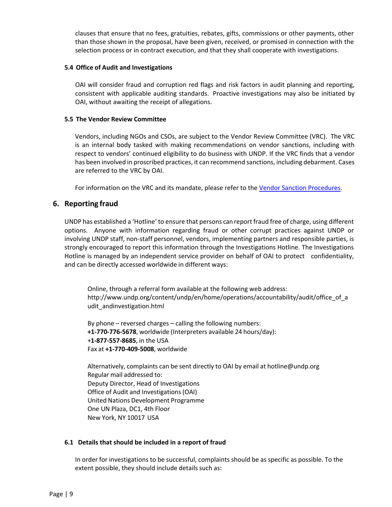clauses that ensure that no fees, gratuities, rebates, gifts, commissions or other payments, other than those shown in the proposal, have been given, received, or promised in connection with the selection process or in contract execution, and that they shall cooperate with investigations.

## **5.4 Office of Audit and Investigations**

OAI will consider fraud and corruption red flags and risk factors in audit planning and reporting, consistent with applicable auditing standards. Proactive investigations may also be initiated by OAI, without awaiting the receipt of allegations.

### **5.5 The Vendor Review Committee**

Vendors, including NGOs and CSOs, are subject to the Vendor Review Committee (VRC). The VRC is an internal body tasked with making recommendations on vendor sanctions, including with respect to vendors' continued eligibility to do business with UNDP. If the VRC finds that a vendor has been involved in proscribed practices, it can recommend sanctions, including debarment. Cases are referred to the VRC by OAI.

For information on the VRC and its mandate, please refer to the [Vendor Sanction Procedures.](https://info.undp.org/global/popp/cap/Pages/Vendor-Sanction-Procedures.aspx)

# <span id="page-8-0"></span>**6. Reporting fraud**

UNDP has established a 'Hotline' to ensure that persons can report fraud free of charge, using different options. Anyone with information regarding fraud or other corrupt practices against UNDP or involving UNDP staff, non-staff personnel, vendors, implementing partners and responsible parties, is strongly encouraged to report this information through the Investigations Hotline. The Investigations Hotline is managed by an independent service provider on behalf of OAI to protect confidentiality, and can be directly accessed worldwide in different ways:

Online, through a referral form available at the following web address: [http://www.undp.org/content/undp/en/home/operations/accountability/audit/office\\_of\\_a](http://www.undp.org/hotline) [udit\\_andinvestigation.html](http://www.undp.org/hotline)

By phone – reversed charges – calling the following numbers: **+1-770-776-5678**, worldwide (Interpreters available 24 hours/day): +**1-877-557-8685**, in the USA Fax at **+1-770-409-5008**, worldwide

Alternatively, complaints can be sent directly to OAI by email at [hotline@undp.org](mailto:hotline@undp.org) Regular mail addressed to: Deputy Director, Head of Investigations Office of Audit and Investigations(OAI) United Nations Development Programme One UN Plaza, DC1, 4th Floor New York, NY 10017 USA

#### **6.1 Details that should be included in a report of fraud**

In order for investigations to be successful, complaints should be as specific as possible. To the extent possible, they should include details such as: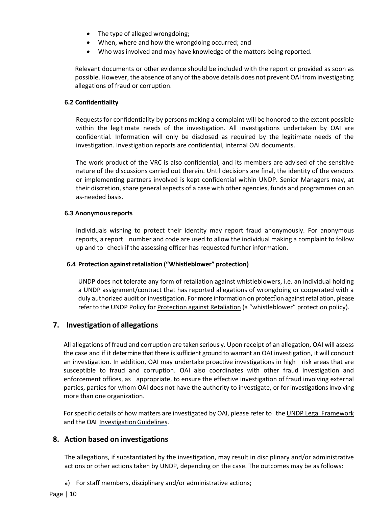- The type of alleged wrongdoing;
- When, where and how the wrongdoing occurred; and
- Who was involved and may have knowledge of the matters being reported.

Relevant documents or other evidence should be included with the report or provided as soon as possible. However, the absence of any of the above details does not prevent OAI from investigating allegations of fraud or corruption.

## **6.2 Confidentiality**

Requests for confidentiality by persons making a complaint will be honored to the extent possible within the legitimate needs of the investigation. All investigations undertaken by OAI are confidential. Information will only be disclosed as required by the legitimate needs of the investigation. Investigation reports are confidential, internal OAI documents.

The work product of the VRC is also confidential, and its members are advised of the sensitive nature of the discussions carried out therein. Until decisions are final, the identity of the vendors or implementing partners involved is kept confidential within UNDP. Senior Managers may, at their discretion, share general aspects of a case with other agencies, funds and programmes on an as-needed basis.

### **6.3 Anonymousreports**

Individuals wishing to protect their identity may report fraud anonymously. For anonymous reports, a report number and code are used to allow the individual making a complaint to follow up and to check if the assessing officer has requested further information.

## **6.4 Protection against retaliation ("Whistleblower" protection)**

UNDP does not tolerate any form of retaliation against whistleblowers, i.e. an individual holding a UNDP assignment/contract that has reported allegations of wrongdoing or cooperated with a duly authorized audit or investigation. For more information on protection against retaliation, please refer to the UNDP Policy for [Protection against Retaliation](https://intranet.undp.org/unit/office/ethics/protection/default.aspx) (a "whistleblower" protection policy).

## <span id="page-9-0"></span>**7. Investigation of allegations**

All allegations of fraud and corruption are taken seriously. Upon receipt of an allegation, OAI will assess the case and if it determine that there is sufficient ground to warrant an OAI investigation, it will conduct an investigation. In addition, OAI may undertake proactive investigations in high risk areas that are susceptible to fraud and corruption. OAI also coordinates with other fraud investigation and enforcement offices, as appropriate, to ensure the effective investigation of fraud involving external parties, parties for whom OAI does not have the authority to investigate, or for investigations involving more than one organization.

For specific details of how matters are investigated by OAI, please refer to the [UNDP Legal Framework](https://intranet.undp.org/unit/bom/lso/Administrative%20Law%20Documents/UNDP%20Legal%20Framework%20-%20with%20hyperlink%20for%20English%20or%20French%20docs.pdf) and the OAI Investigation Guidelines.

# <span id="page-9-1"></span>**8. Action based on investigations**

The allegations, if substantiated by the investigation, may result in disciplinary and/or administrative actions or other actions taken by UNDP, depending on the case. The outcomes may be as follows:

a) For staff members, disciplinary and/or administrative actions;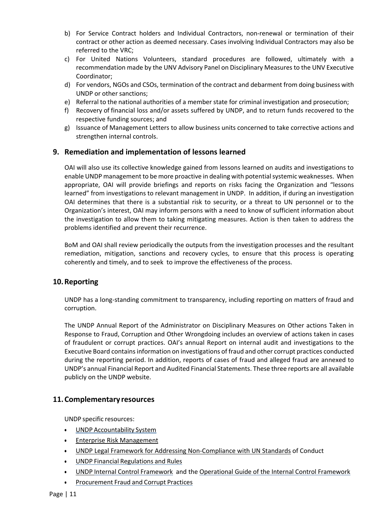- b) For Service Contract holders and Individual Contractors, non-renewal or termination of their contract or other action as deemed necessary. Cases involving Individual Contractors may also be referred to the VRC;
- c) For United Nations Volunteers, standard procedures are followed, ultimately with a recommendation made by the UNV Advisory Panel on Disciplinary Measures to the UNV Executive Coordinator;
- d) For vendors, NGOs and CSOs, termination of the contract and debarment from doing business with UNDP or other sanctions;
- e) Referral to the national authorities of a member state for criminal investigation and prosecution;
- f) Recovery of financial loss and/or assets suffered by UNDP, and to return funds recovered to the respective funding sources; and
- g) Issuance of Management Letters to allow business units concerned to take corrective actions and strengthen internal controls.

# <span id="page-10-0"></span>**9. Remediation and implementation of lessons learned**

OAI will also use its collective knowledge gained from lessons learned on audits and investigations to enable UNDP management to be more proactive in dealing with potential systemic weaknesses. When appropriate, OAI will provide briefings and reports on risks facing the Organization and "lessons learned" from investigations to relevant management in UNDP. In addition, if during an investigation OAI determines that there is a substantial risk to security, or a threat to UN personnel or to the Organization's interest, OAI may inform persons with a need to know of sufficient information about the investigation to allow them to taking mitigating measures. Action is then taken to address the problems identified and prevent their recurrence.

BoM and OAI shall review periodically the outputs from the investigation processes and the resultant remediation, mitigation, sanctions and recovery cycles, to ensure that this process is operating coherently and timely, and to seek to improve the effectiveness of the process.

# <span id="page-10-1"></span>**10.Reporting**

UNDP has a long-standing commitment to transparency, including reporting on matters of fraud and corruption.

The UNDP Annual Report of the Administrator on Disciplinary Measures on Other actions Taken in Response to Fraud, Corruption and Other Wrongdoing includes an overview of actions taken in cases of fraudulent or corrupt practices. OAI's annual Report on internal audit and investigations to the Executive Board contains information on investigations of fraud and other corrupt practices conducted during the reporting period. In addition, reports of cases of fraud and alleged fraud are annexed to UNDP's annual Financial Report and Audited Financial Statements. These three reports are all available publicly on the UNDP website.

# <span id="page-10-2"></span>**11.Complementary resources**

UNDP specific resources:

- UNDP [Accountability](http://www.undp.org/execbrd/word/dp08-16Rev1.doc) System
- [Enterprise Risk Management](https://intranet.undp.org/global/popp/rma/Pages/enterprise-risk-management-cycle.aspx)
- [UNDP Legal Framework for Addressing Non-Compliance with UN Standards](https://intranet.undp.org/unit/bom/lso/Administrative%20Law%20Documents/UNDP%20Legal%20Framework%20-%20with%20hyperlink%20for%20English%20or%20French%20docs.pdf) of Conduct
- UNDP Financial [Regulations](https://intranet.undp.org/global/documents/frm/Financial-Rules-and-Regulations_E.pdf) and Rules
- UNDP [Internal Control Framework](https://intranet.undp.org/global/popp/rma/Pages/internal-control-framework.aspx) and the [Operational Guide of the Internal Control Framework](https://intranet.undp.org/global/popp/rma/Pages/operational-guide-of-the-internal-control-framework.aspx)
- [Procurement](http://content.undp.org/go/userguide/cap/procurement/fraud-corrupt-practices/?lang=en&top) Fraud and Corrupt Practices